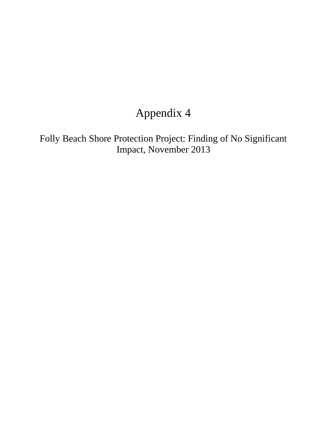## Appendix 4

Folly Beach Shore Protection Project: Finding of No Significant Impact, November 2013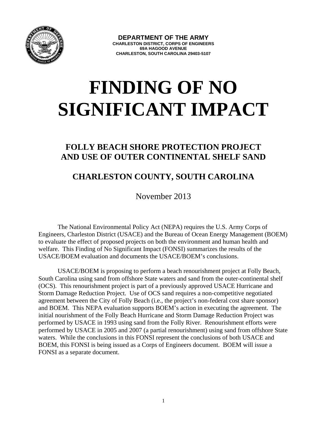

# **FINDING OF NO SIGNIFICANT IMPACT**

### **FOLLY BEACH SHORE PROTECTION PROJECT AND USE OF OUTER CONTINENTAL SHELF SAND**

### **CHARLESTON COUNTY, SOUTH CAROLINA**

November 2013

The National Environmental Policy Act (NEPA) requires the U.S. Army Corps of Engineers, Charleston District (USACE) and the Bureau of Ocean Energy Management (BOEM) to evaluate the effect of proposed projects on both the environment and human health and welfare. This Finding of No Significant Impact (FONSI) summarizes the results of the USACE/BOEM evaluation and documents the USACE/BOEM's conclusions.

USACE/BOEM is proposing to perform a beach renourishment project at Folly Beach, South Carolina using sand from offshore State waters and sand from the outer-continental shelf (OCS). This renourishment project is part of a previously approved USACE Hurricane and Storm Damage Reduction Project. Use of OCS sand requires a non-competitive negotiated agreement between the City of Folly Beach (i.e., the project's non-federal cost share sponsor) and BOEM. This NEPA evaluation supports BOEM's action in executing the agreement. The initial nourishment of the Folly Beach Hurricane and Storm Damage Reduction Project was performed by USACE in 1993 using sand from the Folly River. Renourishment efforts were performed by USACE in 2005 and 2007 (a partial renourishment) using sand from offshore State waters. While the conclusions in this FONSI represent the conclusions of both USACE and BOEM, this FONSI is being issued as a Corps of Engineers document. BOEM will issue a FONSI as a separate document.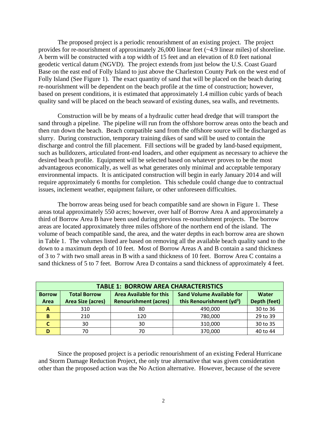The proposed project is a periodic renourishment of an existing project. The project provides for re-nourishment of approximately 26,000 linear feet (~4.9 linear miles) of shoreline. A berm will be constructed with a top width of 15 feet and an elevation of 8.0 feet national geodetic vertical datum (NGVD). The project extends from just below the U.S. Coast Guard Base on the east end of Folly Island to just above the Charleston County Park on the west end of Folly Island (See Figure 1). The exact quantity of sand that will be placed on the beach during re-nourishment will be dependent on the beach profile at the time of construction; however, based on present conditions, it is estimated that approximately 1.4 million cubic yards of beach quality sand will be placed on the beach seaward of existing dunes, sea walls, and revetments.

Construction will be by means of a hydraulic cutter head dredge that will transport the sand through a pipeline. The pipeline will run from the offshore borrow areas onto the beach and then run down the beach. Beach compatible sand from the offshore source will be discharged as slurry. During construction, temporary training dikes of sand will be used to contain the discharge and control the fill placement. Fill sections will be graded by land-based equipment, such as bulldozers, articulated front-end loaders, and other equipment as necessary to achieve the desired beach profile. Equipment will be selected based on whatever proves to be the most advantageous economically, as well as what generates only minimal and acceptable temporary environmental impacts. It is anticipated construction will begin in early January 2014 and will require approximately 6 months for completion. This schedule could change due to contractual issues, inclement weather, equipment failure, or other unforeseen difficulties.

The borrow areas being used for beach compatible sand are shown in Figure 1. These areas total approximately 550 acres; however, over half of Borrow Area A and approximately a third of Borrow Area B have been used during previous re-nourishment projects. The borrow areas are located approximately three miles offshore of the northern end of the island. The volume of beach compatible sand, the area, and the water depths in each borrow area are shown in Table 1. The volumes listed are based on removing all the available beach quality sand to the down to a maximum depth of 10 feet. Most of Borrow Areas A and B contain a sand thickness of 3 to 7 with two small areas in B with a sand thickness of 10 feet. Borrow Area C contains a sand thickness of 5 to 7 feet. Borrow Area D contains a sand thickness of approximately 4 feet.

| <b>TABLE 1: BORROW AREA CHARACTERISTICS</b> |                          |                                |                                       |              |
|---------------------------------------------|--------------------------|--------------------------------|---------------------------------------|--------------|
| <b>Borrow</b>                               | <b>Total Borrow</b>      | <b>Area Available for this</b> | <b>Sand Volume Available for</b>      | Water        |
| Area                                        | <b>Area Size (acres)</b> | <b>Renourishment (acres)</b>   | this Renourishment (yd <sup>3</sup> ) | Depth (feet) |
| A                                           | 310                      | 80                             | 490,000                               | 30 to 36     |
| B                                           | 210                      | 120                            | 780,000                               | 29 to 39     |
|                                             | 30                       | 30                             | 310,000                               | 30 to 35     |
|                                             | 70                       | 70                             | 370,000                               | 40 to 44     |

Since the proposed project is a periodic renourishment of an existing Federal Hurricane and Storm Damage Reduction Project, the only true alternative that was given consideration other than the proposed action was the No Action alternative. However, because of the severe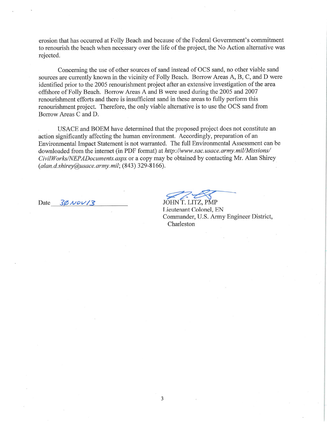erosion that has occurred at Folly Beach and because of the Federal Government's commitment to renourish the beach when necessary over the life of the project, the No Action alternative was rejected.

Concerning the use of other sources of sand instead of OCS sand, no other viable sand sources are currently known in the vicinity of Folly Beach. Borrow Areas A, B, C, and D were identified prior to the 2005 renourishment project after an extensive investigation of the area offshore of Folly Beach. Borrow Areas A and B were used during the 2005 and 2007 renourishment efforts and there is insufficient sand in these areas to fully perform this renourishment project. Therefore, the only viable alternative is to use the OCS sand from Borrow Areas C and D.

USACE and BOEM have determined that the proposed project does not constitute an action significantly affecting the human environment. Accordingly, preparation of an Environmental Impact Statement is not warranted. The full Environmental Assessment can be downloaded from the internet (in PDF format) at http://www.sac.usace.army.mil/Missions/ CivilWorks/NEPADocuments.aspx or a copy may be obtained by contacting Mr. Alan Shirey  $(alan.d.shirev@usace. army.mil; (843) 329-8166).$ 

Date  $30\,\text{Nov/s}$ 

JOHN T. LITZ, PMP Lieutenant Colonel, EN Commander, U.S. Army Engineer District, Charleston